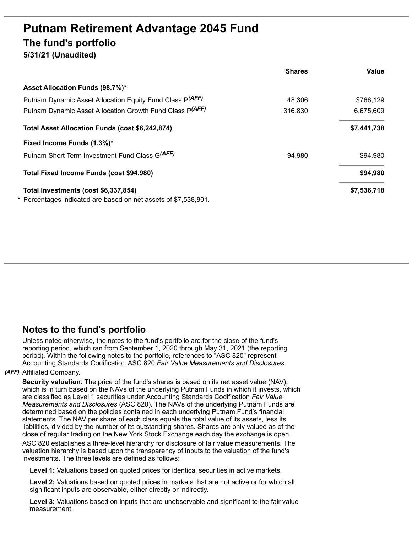# **Putnam Retirement Advantage 2045 Fund The fund's portfolio 5/31/21 (Unaudited)**

|                                                               | <b>Shares</b> | Value       |
|---------------------------------------------------------------|---------------|-------------|
| Asset Allocation Funds (98.7%)*                               |               |             |
| Putnam Dynamic Asset Allocation Equity Fund Class P(AFF)      | 48,306        | \$766,129   |
| Putnam Dynamic Asset Allocation Growth Fund Class P(AFF)      | 316,830       | 6,675,609   |
| Total Asset Allocation Funds (cost \$6,242,874)               |               | \$7,441,738 |
| Fixed Income Funds (1.3%)*                                    |               |             |
| Putnam Short Term Investment Fund Class G(AFF)                | 94,980        | \$94,980    |
| Total Fixed Income Funds (cost \$94,980)                      |               | \$94,980    |
| Total Investments (cost \$6,337,854)                          |               | \$7,536,718 |
| Percentages indicated are based on net assets of \$7,538,801. |               |             |

## **Notes to the fund's portfolio**

Unless noted otherwise, the notes to the fund's portfolio are for the close of the fund's reporting period, which ran from September 1, 2020 through May 31, 2021 (the reporting period). Within the following notes to the portfolio, references to "ASC 820" represent Accounting Standards Codification ASC 820 *Fair Value Measurements and Disclosures*.

### *(AFF)* Affiliated Company.

**Security valuation**: The price of the fund's shares is based on its net asset value (NAV), which is in turn based on the NAVs of the underlying Putnam Funds in which it invests, which are classified as Level 1 securities under Accounting Standards Codification *Fair Value Measurements and Disclosures* (ASC 820). The NAVs of the underlying Putnam Funds are determined based on the policies contained in each underlying Putnam Fund's financial statements. The NAV per share of each class equals the total value of its assets, less its liabilities, divided by the number of its outstanding shares. Shares are only valued as of the close of regular trading on the New York Stock Exchange each day the exchange is open.

ASC 820 establishes a three-level hierarchy for disclosure of fair value measurements. The valuation hierarchy is based upon the transparency of inputs to the valuation of the fund's investments. The three levels are defined as follows:

**Level 1:** Valuations based on quoted prices for identical securities in active markets.

**Level 2:** Valuations based on quoted prices in markets that are not active or for which all significant inputs are observable, either directly or indirectly.

**Level 3:** Valuations based on inputs that are unobservable and significant to the fair value measurement.